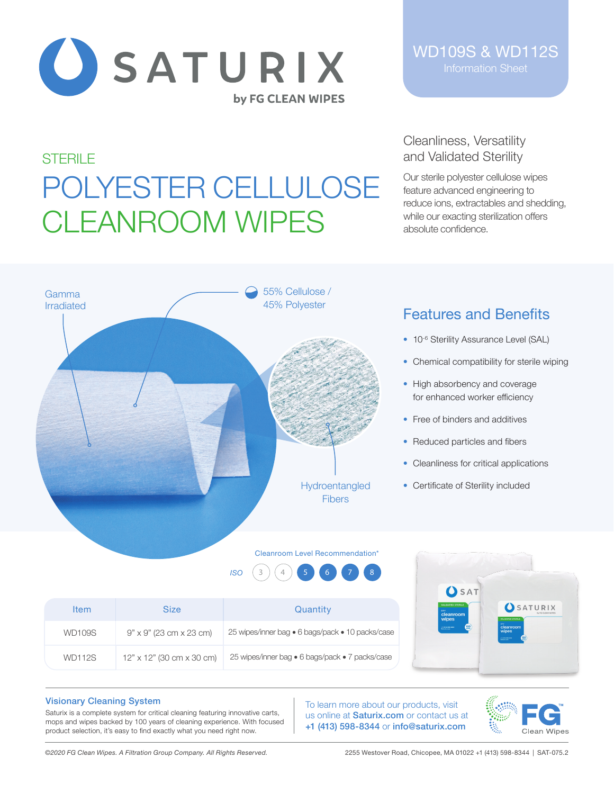

WD109S & WD112S Information Sheet

# **STERILE** POLYESTER CELLULOSE CLEANROOM WIPES

## Cleanliness, Versatility and Validated Sterility

Our sterile polyester cellulose wipes feature advanced engineering to reduce ions, extractables and shedding, while our exacting sterilization offers absolute confidence.



- 10<sup>-6</sup> Sterility Assurance Level (SAL)
- Chemical compatibility for sterile wiping
- High absorbency and coverage for enhanced worker efficiency
- Free of binders and additives
- Reduced particles and fibers
- Cleanliness for critical applications
- Certificate of Sterility included

#### Cleanroom Level Recommendation\*

55% Cellulose / 45% Polyester

> Hydroentangled Fibers



### Visionary Cleaning System

Gamma

Saturix is a complete system for critical cleaning featuring innovative carts, mops and wipes backed by 100 years of cleaning experience. With focused product selection, it's easy to find exactly what you need right now.

To learn more about our products, visit us online at Saturix.com or contact us at +1 (413) 598-8344 or info@saturix.com



*©2020 FG Clean Wipes. A Filtration Group Company. All Rights Reserved.* 2255 Westover Road, Chicopee, MA 01022 +1 (413) 598-8344 | SAT-075.2